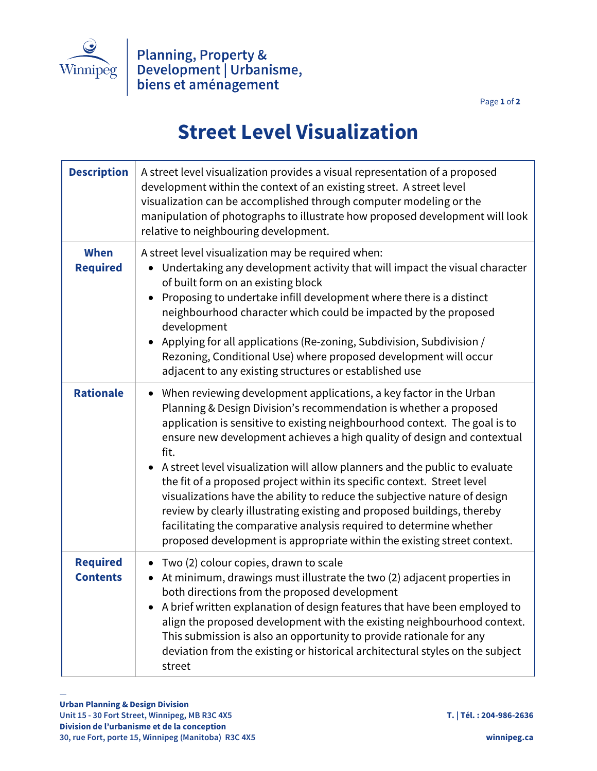

Page **1** of **2**

## **Street Level Visualization**

| <b>Description</b>                 | A street level visualization provides a visual representation of a proposed<br>development within the context of an existing street. A street level<br>visualization can be accomplished through computer modeling or the<br>manipulation of photographs to illustrate how proposed development will look<br>relative to neighbouring development.                                                                                                                                                                                                                                                                                                                                                                                                                             |
|------------------------------------|--------------------------------------------------------------------------------------------------------------------------------------------------------------------------------------------------------------------------------------------------------------------------------------------------------------------------------------------------------------------------------------------------------------------------------------------------------------------------------------------------------------------------------------------------------------------------------------------------------------------------------------------------------------------------------------------------------------------------------------------------------------------------------|
| <b>When</b><br><b>Required</b>     | A street level visualization may be required when:<br>Undertaking any development activity that will impact the visual character<br>of built form on an existing block<br>Proposing to undertake infill development where there is a distinct<br>neighbourhood character which could be impacted by the proposed<br>development<br>Applying for all applications (Re-zoning, Subdivision, Subdivision /<br>Rezoning, Conditional Use) where proposed development will occur<br>adjacent to any existing structures or established use                                                                                                                                                                                                                                          |
| <b>Rationale</b>                   | When reviewing development applications, a key factor in the Urban<br>Planning & Design Division's recommendation is whether a proposed<br>application is sensitive to existing neighbourhood context. The goal is to<br>ensure new development achieves a high quality of design and contextual<br>fit.<br>• A street level visualization will allow planners and the public to evaluate<br>the fit of a proposed project within its specific context. Street level<br>visualizations have the ability to reduce the subjective nature of design<br>review by clearly illustrating existing and proposed buildings, thereby<br>facilitating the comparative analysis required to determine whether<br>proposed development is appropriate within the existing street context. |
| <b>Required</b><br><b>Contents</b> | • Two (2) colour copies, drawn to scale<br>At minimum, drawings must illustrate the two (2) adjacent properties in<br>both directions from the proposed development<br>A brief written explanation of design features that have been employed to<br>align the proposed development with the existing neighbourhood context.<br>This submission is also an opportunity to provide rationale for any<br>deviation from the existing or historical architectural styles on the subject<br>street                                                                                                                                                                                                                                                                                  |

—